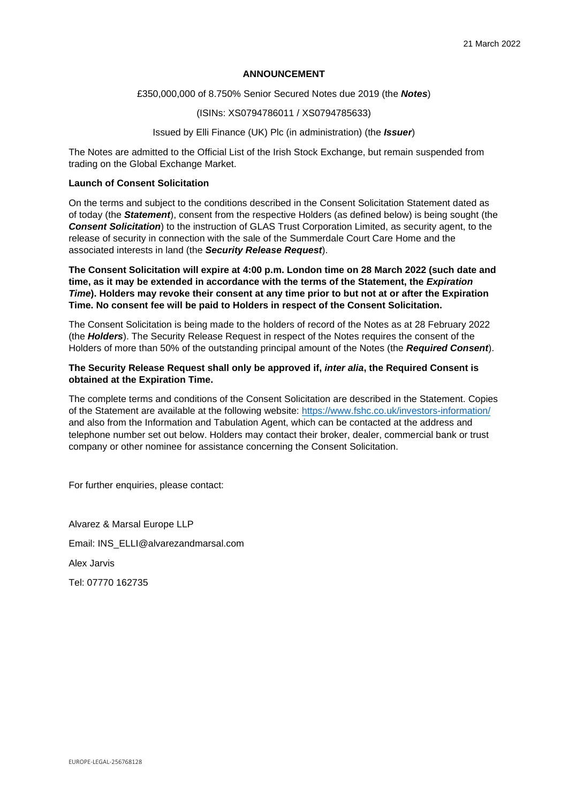### **ANNOUNCEMENT**

### £350,000,000 of 8.750% Senior Secured Notes due 2019 (the *Notes*)

### (ISINs: XS0794786011 / XS0794785633)

# Issued by Elli Finance (UK) Plc (in administration) (the *Issuer*)

The Notes are admitted to the Official List of the Irish Stock Exchange, but remain suspended from trading on the Global Exchange Market.

## **Launch of Consent Solicitation**

On the terms and subject to the conditions described in the Consent Solicitation Statement dated as of today (the *Statement*), consent from the respective Holders (as defined below) is being sought (the **Consent Solicitation**) to the instruction of GLAS Trust Corporation Limited, as security agent, to the release of security in connection with the sale of the Summerdale Court Care Home and the associated interests in land (the *Security Release Request*).

**The Consent Solicitation will expire at 4:00 p.m. London time on 28 March 2022 (such date and time, as it may be extended in accordance with the terms of the Statement, the** *Expiration Time***). Holders may revoke their consent at any time prior to but not at or after the Expiration Time. No consent fee will be paid to Holders in respect of the Consent Solicitation.** 

The Consent Solicitation is being made to the holders of record of the Notes as at 28 February 2022 (the *Holders*). The Security Release Request in respect of the Notes requires the consent of the Holders of more than 50% of the outstanding principal amount of the Notes (the *Required Consent*).

## **The Security Release Request shall only be approved if,** *inter alia***, the Required Consent is obtained at the Expiration Time.**

The complete terms and conditions of the Consent Solicitation are described in the Statement. Copies of the Statement are available at the following website: https://www.fshc.co.uk/investors-information/ and also from the Information and Tabulation Agent, which can be contacted at the address and telephone number set out below. Holders may contact their broker, dealer, commercial bank or trust company or other nominee for assistance concerning the Consent Solicitation.

For further enquiries, please contact:

Alvarez & Marsal Europe LLP Email: INS\_ELLI@alvarezandmarsal.com Alex Jarvis Tel: 07770 162735